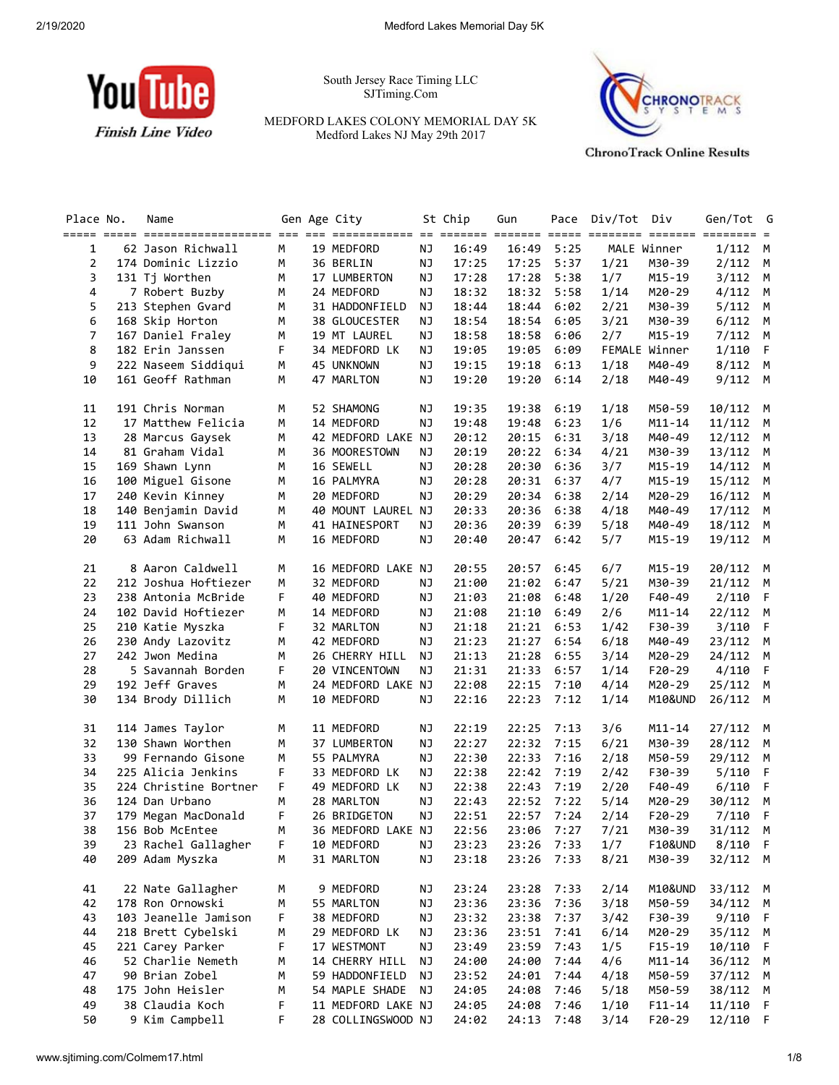

South Jersey Race Timing LLC SJTiming.Com

MEDFORD LAKES COLONY MEMORIAL DAY 5K Medford Lakes NJ May 29th 2017



**ChronoTrack Online Results** 

| Place No.           | Name                                 |        | Gen Age City              |                 | St Chip        | Gun            | Pace         | Div/Tot | Div                  | Gen/Tot         | G            |
|---------------------|--------------------------------------|--------|---------------------------|-----------------|----------------|----------------|--------------|---------|----------------------|-----------------|--------------|
|                     |                                      |        |                           |                 |                |                |              |         |                      |                 |              |
| 1<br>$\overline{2}$ | 62 Jason Richwall                    | M      | 19 MEDFORD                | NJ              | 16:49<br>17:25 | 16:49          | 5:25         | 1/21    | MALE Winner          | 1/112           | M            |
| 3                   | 174 Dominic Lizzio<br>131 Tj Worthen | М<br>M | 36 BERLIN<br>17 LUMBERTON | ΝJ<br><b>NJ</b> | 17:28          | 17:25<br>17:28 | 5:37<br>5:38 | 1/7     | M30-39<br>$M15 - 19$ | 2/112<br>3/112  | M<br>M       |
| 4                   | 7 Robert Buzby                       | М      | 24 MEDFORD                | ΝJ              | 18:32          | 18:32          | 5:58         | 1/14    | M20-29               | $4/112$ M       |              |
| 5                   | 213 Stephen Gvard                    | М      | 31 HADDONFIELD            | ΝJ              | 18:44          | 18:44          | 6:02         | 2/21    | M30-39               | 5/112           | м            |
| 6                   | 168 Skip Horton                      | M      | 38 GLOUCESTER             | ΝJ              | 18:54          | 18:54          | 6:05         | 3/21    | M30-39               | 6/112           | M            |
| $\overline{7}$      | 167 Daniel Fraley                    | M      | 19 MT LAUREL              | ΝJ              | 18:58          | 18:58          | 6:06         | 2/7     | $M15 - 19$           | 7/112           | M            |
| 8                   | 182 Erin Janssen                     | F      | 34 MEDFORD LK             | NJ              | 19:05          | 19:05          | 6:09         |         | FEMALE Winner        | 1/110           | -F           |
| 9                   | 222 Naseem Siddiqui                  | М      | 45 UNKNOWN                | NJ              | 19:15          | 19:18          | 6:13         | 1/18    | M40-49               | $8/112$ M       |              |
| 10                  | 161 Geoff Rathman                    | М      | 47 MARLTON                | NJ              | 19:20          | 19:20          | 6:14         | 2/18    | M40-49               | 9/112           | M            |
|                     |                                      |        |                           |                 |                |                |              |         |                      |                 |              |
| 11                  | 191 Chris Norman                     | М      | 52 SHAMONG                | NJ              | 19:35          | 19:38          | 6:19         | 1/18    | M50-59               | 10/112 M        |              |
| 12                  | 17 Matthew Felicia                   | М      | 14 MEDFORD                | NJ              | 19:48          | 19:48          | 6:23         | 1/6     | $M11 - 14$           | $11/112$ M      |              |
| 13                  | 28 Marcus Gaysek                     | М      | 42 MEDFORD LAKE NJ        |                 | 20:12          | 20:15          | 6:31         | 3/18    | M40-49               | 12/112          | M            |
| 14                  | 81 Graham Vidal                      | М      | 36 MOORESTOWN             | ΝJ              | 20:19          | 20:22          | 6:34         | 4/21    | M30-39               | 13/112 M        |              |
| 15                  | 169 Shawn Lynn                       | М      | 16 SEWELL                 | NJ              | 20:28          | 20:30          | 6:36         | 3/7     | M15-19               | 14/112          | M            |
| 16                  | 100 Miguel Gisone                    | М      | 16 PALMYRA                | NJ              | 20:28          | 20:31          | 6:37         | 4/7     | $M15 - 19$           | 15/112 M        |              |
| 17                  | 240 Kevin Kinney                     | М      | 20 MEDFORD                | NJ              | 20:29          | 20:34          | 6:38         | 2/14    | M20-29               | 16/112          | м            |
| 18                  | 140 Benjamin David                   | M      | 40 MOUNT LAUREL NJ        |                 | 20:33          | 20:36          | 6:38         | 4/18    | M40-49               | 17/112 M        |              |
| 19                  | 111 John Swanson                     | М      | 41 HAINESPORT             | ΝJ              | 20:36          | 20:39          | 6:39         | 5/18    | M40-49               | 18/112 M        |              |
| 20                  | 63 Adam Richwall                     | М      | 16 MEDFORD                | NJ              | 20:40          | 20:47          | 6:42         | 5/7     | M15-19               | 19/112 M        |              |
| 21                  | 8 Aaron Caldwell                     | М      | 16 MEDFORD LAKE NJ        |                 | 20:55          | 20:57          | 6:45         | 6/7     | M15-19               | 20/112 M        |              |
| 22                  | 212 Joshua Hoftiezer                 | М      | 32 MEDFORD                | NJ              | 21:00          | 21:02          | 6:47         | 5/21    | M30-39               | 21/112 M        |              |
| 23                  | 238 Antonia McBride                  | F      | 40 MEDFORD                | NJ              | 21:03          | 21:08          | 6:48         | 1/20    | F40-49               | 2/110           | - F          |
| 24                  | 102 David Hoftiezer                  | М      | 14 MEDFORD                | NJ              | 21:08          | 21:10          | 6:49         | 2/6     | $M11 - 14$           | 22/112 M        |              |
| 25                  | 210 Katie Myszka                     | F      | 32 MARLTON                | <b>NJ</b>       | 21:18          | 21:21          | 6:53         | 1/42    | F30-39               | 3/110           | F            |
| 26                  | 230 Andy Lazovitz                    | М      | 42 MEDFORD                | NJ              | 21:23          | 21:27          | 6:54         | 6/18    | M40-49               | 23/112 M        |              |
| 27                  | 242 Jwon Medina                      | М      | 26 CHERRY HILL            | NJ              | 21:13          | 21:28          | 6:55         | 3/14    | M20-29               | 24/112 M        |              |
| 28                  | 5 Savannah Borden                    | F      | 20 VINCENTOWN             | ΝJ              | 21:31          | 21:33          | 6:57         | 1/14    | $F20-29$             | 4/110           | - F          |
| 29                  | 192 Jeff Graves                      | М      | 24 MEDFORD LAKE NJ        |                 | 22:08          | 22:15          | 7:10         | 4/14    | M20-29               | 25/112          | M            |
| 30                  | 134 Brody Dillich                    | М      | 10 MEDFORD                | ΝJ              | 22:16          | 22:23          | 7:12         | 1/14    | M10&UND              | 26/112 M        |              |
| 31                  | 114 James Taylor                     | M      | 11 MEDFORD                | NJ              | 22:19          | 22:25          | 7:13         | 3/6     | $M11 - 14$           | 27/112          | M            |
| 32                  | 130 Shawn Worthen                    | М      | 37 LUMBERTON              | <b>NJ</b>       | 22:27          | 22:32          | 7:15         | 6/21    | M30-39               | 28/112          | M            |
| 33                  | 99 Fernando Gisone                   | М      | 55 PALMYRA                | NJ              | 22:30          | 22:33          | 7:16         | 2/18    | M50-59               | 29/112          | M            |
| 34                  | 225 Alicia Jenkins                   | F      | 33 MEDFORD LK             | ΝJ              | 22:38          | 22:42          | 7:19         | 2/42    | F30-39               | 5/110           | - F          |
| 35                  | 224 Christine Bortner                | F      | 49 MEDFORD LK             | NJ              | 22:38          | 22:43          | 7:19         | 2/20    | F40-49               | 6/110           | $\mathsf{F}$ |
| 36                  | 124 Dan Urbano                       | M      | 28 MARLTON                | <b>NJ</b>       | 22:43          | 22:52          | 7:22         | 5/14    | M20-29               | 30/112 M        |              |
| 37                  | 179 Megan MacDonald                  | F      | 26 BRIDGETON              | <b>NJ</b>       | 22:51          | $22:57$ 7:24   |              | 2/14    | F20-29               | 7/110           | -F           |
| 38                  | 156 Bob McEntee                      | M      | 36 MEDFORD LAKE NJ        |                 | 22:56          | 23:06 7:27     |              | 7/21    |                      | M30-39 31/112 M |              |
| 39                  | 23 Rachel Gallagher                  | F      | 10 MEDFORD                | NJ              | 23:23          | 23:26          | 7:33         | 1/7     | <b>F10&amp;UND</b>   | 8/110 F         |              |
| 40                  | 209 Adam Myszka                      | м      | 31 MARLTON                | <b>NJ</b>       | 23:18          | 23:26          | 7:33         | 8/21    | M30-39               | 32/112 M        |              |
| 41                  | 22 Nate Gallagher                    | М      | 9 MEDFORD                 | ΝJ              | 23:24          | 23:28          | 7:33         | 2/14    | M10&UND              | 33/112 M        |              |
| 42                  | 178 Ron Ornowski                     | М      | 55 MARLTON                | <b>NJ</b>       | 23:36          | 23:36          | 7:36         | 3/18    | M50-59               | 34/112 M        |              |
| 43                  | 103 Jeanelle Jamison                 | F      | 38 MEDFORD                | NJ              | 23:32          | 23:38          | 7:37         | 3/42    | F30-39               | 9/110           | F            |
| 44                  | 218 Brett Cybelski                   | м      | 29 MEDFORD LK             | <b>NJ</b>       | 23:36          | 23:51          | 7:41         | 6/14    | M20-29               | 35/112 M        |              |
| 45                  | 221 Carey Parker                     | F      | 17 WESTMONT               | <b>NJ</b>       | 23:49          | 23:59          | 7:43         | 1/5     | $F15 - 19$           | 10/110          | -F           |
| 46                  | 52 Charlie Nemeth                    | М      | 14 CHERRY HILL            | ΝJ              | 24:00          | 24:00          | 7:44         | 4/6     | $M11 - 14$           | 36/112 M        |              |
| 47                  | 90 Brian Zobel                       | М      | 59 HADDONFIELD            | <b>NJ</b>       | 23:52          | 24:01          | 7:44         | 4/18    | M50-59               | 37/112          | M            |
| 48                  | 175 John Heisler                     | М      | 54 MAPLE SHADE            | ΝJ              | 24:05          | 24:08          | 7:46         | 5/18    | M50-59               | 38/112 M        |              |
| 49                  | 38 Claudia Koch                      | F      | 11 MEDFORD LAKE NJ        |                 | 24:05          | 24:08          | 7:46         | 1/10    | $F11 - 14$           | 11/110          | -F           |
| 50                  | 9 Kim Campbell                       | F      | 28 COLLINGSWOOD NJ        |                 | 24:02          | 24:13          | 7:48         | 3/14    | $F20-29$             | 12/110 F        |              |
|                     |                                      |        |                           |                 |                |                |              |         |                      |                 |              |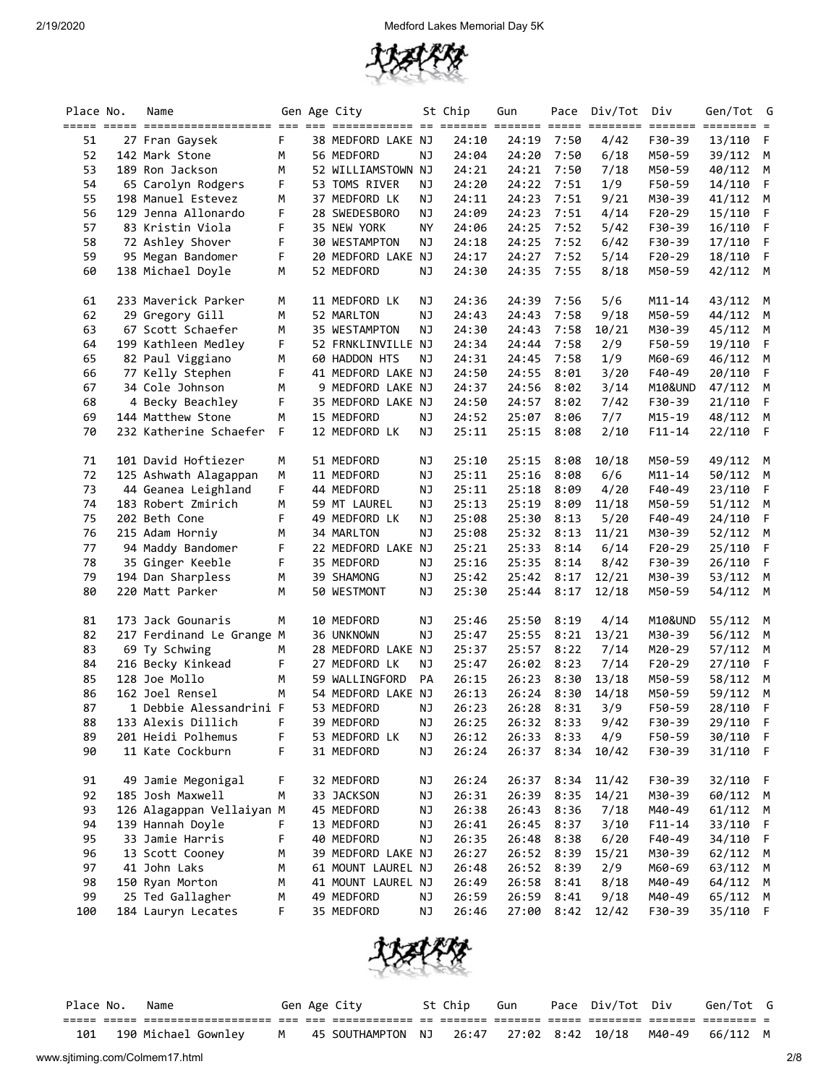

| Place No. | Name                                   |        | Gen Age City                |           | St Chip        | Gun                      | Pace | Div/Tot      | Div              | Gen/Tot G        |              |
|-----------|----------------------------------------|--------|-----------------------------|-----------|----------------|--------------------------|------|--------------|------------------|------------------|--------------|
|           |                                        |        |                             |           |                |                          |      |              |                  |                  |              |
| 51        | 27 Fran Gaysek                         | F      | 38 MEDFORD LAKE NJ          |           | 24:10          | 24:19                    | 7:50 | 4/42         | F30-39           | 13/110           | F            |
| 52        | 142 Mark Stone                         | M      | 56 MEDFORD                  | NJ        | 24:04          | 24:20                    | 7:50 | 6/18         | M50-59           | 39/112           | M            |
| 53        | 189 Ron Jackson                        | М      | 52 WILLIAMSTOWN NJ          |           | 24:21          | 24:21                    | 7:50 | 7/18         | M50-59           | 40/112           | M            |
| 54        | 65 Carolyn Rodgers                     | F      | 53 TOMS RIVER               | ΝJ        | 24:20          | 24:22                    | 7:51 | 1/9          | F50-59           | 14/110           | -F           |
| 55        | 198 Manuel Estevez                     | М      | 37 MEDFORD LK               | ΝJ        | 24:11          | 24:23                    | 7:51 | 9/21         | M30-39           | 41/112 M         |              |
| 56        | 129 Jenna Allonardo                    | F      | 28 SWEDESBORO               | <b>NJ</b> | 24:09          | 24:23                    | 7:51 | 4/14         | F20-29           | 15/110           | F            |
| 57        | 83 Kristin Viola                       | F      | 35 NEW YORK                 | ΝY        | 24:06          | 24:25                    | 7:52 | 5/42         | F30-39           | 16/110           | - F          |
| 58        | 72 Ashley Shover                       | F      | 30 WESTAMPTON               | ΝJ        | 24:18          | 24:25                    | 7:52 | 6/42         | F30-39           | 17/110           | $-F$         |
| 59        | 95 Megan Bandomer                      | F      | 20 MEDFORD LAKE             | NJ        | 24:17          | 24:27                    | 7:52 | 5/14         | $F20-29$         | 18/110           | - F          |
| 60        | 138 Michael Doyle                      | М      | 52 MEDFORD                  | ΝJ        | 24:30          | 24:35                    | 7:55 | 8/18         | M50-59           | 42/112 M         |              |
| 61        | 233 Maverick Parker                    | М      | 11 MEDFORD LK               | ΝJ        | 24:36          | 24:39                    | 7:56 | 5/6          | $M11 - 14$       | 43/112 M         |              |
| 62        | 29 Gregory Gill                        | М      | 52 MARLTON                  | <b>NJ</b> | 24:43          | 24:43                    | 7:58 | 9/18         | M50-59           | 44/112           | M            |
| 63        | 67 Scott Schaefer                      | M      | 35 WESTAMPTON               | ΝJ        | 24:30          | 24:43                    | 7:58 | 10/21        | M30-39           | 45/112 M         |              |
| 64        | 199 Kathleen Medley                    | F      | 52 FRNKLINVILLE NJ          |           | 24:34          | 24:44                    | 7:58 | 2/9          | F50-59           | 19/110           | -F           |
| 65        | 82 Paul Viggiano                       | М      | 60 HADDON HTS               | ΝJ        | 24:31          | 24:45                    | 7:58 | 1/9          | M60-69           | 46/112           | M            |
| 66        | 77 Kelly Stephen                       | F      | 41 MEDFORD LAKE NJ          |           | 24:50          | 24:55                    | 8:01 | 3/20         | F40-49           | 20/110           | F            |
| 67        | 34 Cole Johnson                        | М      | 9 MEDFORD LAKE NJ           |           | 24:37          | 24:56                    | 8:02 | 3/14         | M10&UND          | 47/112           | M            |
| 68        | 4 Becky Beachley                       | F      | 35 MEDFORD LAKE NJ          |           | 24:50          | 24:57                    | 8:02 | 7/42         | F30-39           | 21/110           | F            |
| 69        | 144 Matthew Stone                      | М      | 15 MEDFORD                  | <b>NJ</b> | 24:52          | 25:07                    | 8:06 | 7/7          | M15-19           | 48/112           | M            |
| 70        | 232 Katherine Schaefer                 | F      | 12 MEDFORD LK               | ΝJ        | 25:11          | 25:15                    | 8:08 | 2/10         | $F11 - 14$       | 22/110           | - F          |
| 71        | 101 David Hoftiezer                    | м      | 51 MEDFORD                  | ΝJ        | 25:10          | 25:15                    | 8:08 | 10/18        | M50-59           | 49/112           | M            |
| 72        | 125 Ashwath Alagappan                  | М      | 11 MEDFORD                  | ΝJ        | 25:11          | 25:16                    | 8:08 | 6/6          | $M11 - 14$       | 50/112           | M            |
| 73        | 44 Geanea Leighland                    | F      | 44 MEDFORD                  | ΝJ        | 25:11          | 25:18                    | 8:09 | 4/20         | F40-49           | 23/110           | - F          |
| 74        | 183 Robert Zmirich                     | М      | 59 MT LAUREL                | NJ        | 25:13          | 25:19                    | 8:09 | 11/18        | M50-59           | 51/112           | M            |
| 75        | 202 Beth Cone                          | F      | 49 MEDFORD LK               | <b>NJ</b> | 25:08          | 25:30                    | 8:13 | 5/20         | F40-49           | 24/110           | -F           |
| 76        | 215 Adam Horniy                        | М      | 34 MARLTON                  | NJ        | 25:08          | 25:32                    | 8:13 | 11/21        | M30-39           | 52/112           | м            |
| 77        | 94 Maddy Bandomer                      | F      | 22 MEDFORD LAKE NJ          |           | 25:21          | 25:33                    | 8:14 | 6/14         | $F20-29$         | 25/110           | -F           |
| 78        | 35 Ginger Keeble                       | F      | 35 MEDFORD                  | NJ        | 25:16          | 25:35                    | 8:14 | 8/42         | F30-39           | 26/110           | $\mathsf{F}$ |
| 79        | 194 Dan Sharpless                      | М      | 39 SHAMONG                  | <b>NJ</b> | 25:42          | 25:42                    | 8:17 | 12/21        | M30-39           | 53/112 M         |              |
| 80        | 220 Matt Parker                        | М      | 50 WESTMONT                 | NJ        | 25:30          | 25:44                    | 8:17 | 12/18        | M50-59           | 54/112           | M            |
| 81        | 173 Jack Gounaris                      | M      | 10 MEDFORD                  | ΝJ        | 25:46          | 25:50                    | 8:19 | 4/14         | M10&UND          | 55/112           | M            |
| 82        | 217 Ferdinand Le Grange M              |        | 36 UNKNOWN                  | <b>NJ</b> | 25:47          | 25:55                    | 8:21 | 13/21        | M30-39           | 56/112           | M            |
| 83        | 69 Ty Schwing                          | м      | 28 MEDFORD LAKE NJ          |           | 25:37          | 25:57                    | 8:22 | 7/14         | M20-29           | 57/112           | м            |
| 84        | 216 Becky Kinkead                      | F      | 27 MEDFORD LK               | ΝJ        | 25:47          | 26:02                    | 8:23 | 7/14         | $F20-29$         | 27/110           | -F           |
| 85        | 128 Joe Mollo                          | M      | 59 WALLINGFORD              | PA        | 26:15          | 26:23                    | 8:30 | 13/18        | M50-59           | 58/112           | M            |
| 86        | 162 Joel Rensel                        | М      | 54 MEDFORD LAKE NJ          |           | 26:13          | 26:24                    | 8:30 | 14/18        | M50-59           | 59/112           | M            |
| 87        | 1 Debbie Alessandrini F                |        | 53 MEDFORD                  | ΝJ        | 26:23          | 26:28                    | 8:31 | 3/9          | F50-59           | 28/110           | - F          |
| 88        | 133 Alexis Dillich                     | F      | 39 MEDFORD                  | <b>NJ</b> | 26:25          | 26:32 8:33               |      | 9/42         | F30-39           | 29/110           | $\mathsf{F}$ |
| 89<br>90  | 201 Heidi Polhemus<br>11 Kate Cockburn | F<br>F | 53 MEDFORD LK<br>31 MEDFORD | ΝJ<br>NJ  | 26:12<br>26:24 | 26:33 8:33<br>26:37 8:34 |      | 4/9<br>10/42 | F50-59<br>F30-39 | 30/110<br>31/110 | - F<br>$-F$  |
|           |                                        |        |                             |           |                |                          |      |              |                  |                  |              |
| 91        | 49 Jamie Megonigal                     | F      | 32 MEDFORD                  | ΝJ        | 26:24          | 26:37                    | 8:34 | 11/42        | F30-39           | 32/110           | - F          |
| 92        | 185 Josh Maxwell                       | М      | 33 JACKSON                  | <b>NJ</b> | 26:31          | 26:39                    | 8:35 | 14/21        | M30-39           | 60/112 M         |              |
| 93        | 126 Alagappan Vellaiyan M              |        | 45 MEDFORD                  | NJ        | 26:38          | 26:43                    | 8:36 | 7/18         | M40-49           | 61/112 M         |              |
| 94        | 139 Hannah Doyle                       | F      | 13 MEDFORD                  | NJ        | 26:41          | 26:45                    | 8:37 | 3/10         | $F11 - 14$       | 33/110           | - F          |
| 95        | 33 Jamie Harris                        | F      | 40 MEDFORD                  | <b>NJ</b> | 26:35          | 26:48                    | 8:38 | 6/20         | F40-49           | 34/110           | - F          |
| 96        | 13 Scott Cooney                        | М      | 39 MEDFORD LAKE NJ          |           | 26:27          | 26:52                    | 8:39 | 15/21        | M30-39           | 62/112 M         |              |
| 97        | 41 John Laks                           | М      | 61 MOUNT LAUREL NJ          |           | 26:48          | 26:52                    | 8:39 | 2/9          | M60-69           | 63/112 M         |              |
| 98        | 150 Ryan Morton                        | М      | 41 MOUNT LAUREL NJ          |           | 26:49          | 26:58                    | 8:41 | 8/18         | M40-49           | 64/112 M         |              |
| 99        | 25 Ted Gallagher                       | м      | 49 MEDFORD                  | ΝJ        | 26:59          | 26:59                    | 8:41 | 9/18         | M40-49           | 65/112 M         |              |
| 100       | 184 Lauryn Lecates                     | F.     | 35 MEDFORD                  | NJ        | 26:46          | 27:00                    | 8:42 | 12/42        | F30-39           | 35/110 F         |              |



|     | Place No. | Name                                     |  | Gen Age City      | St Chip | Gun                      | Pace Div/Tot Div | Gen/Tot G       |  |
|-----|-----------|------------------------------------------|--|-------------------|---------|--------------------------|------------------|-----------------|--|
|     |           |                                          |  |                   |         |                          |                  |                 |  |
| 101 |           | 190 Michael Gownley<br>- M <sup>JE</sup> |  | 45 SOUTHAMPTON NJ |         | $26:47$ 27:02 8:42 10/18 |                  | M40-49 66/112 M |  |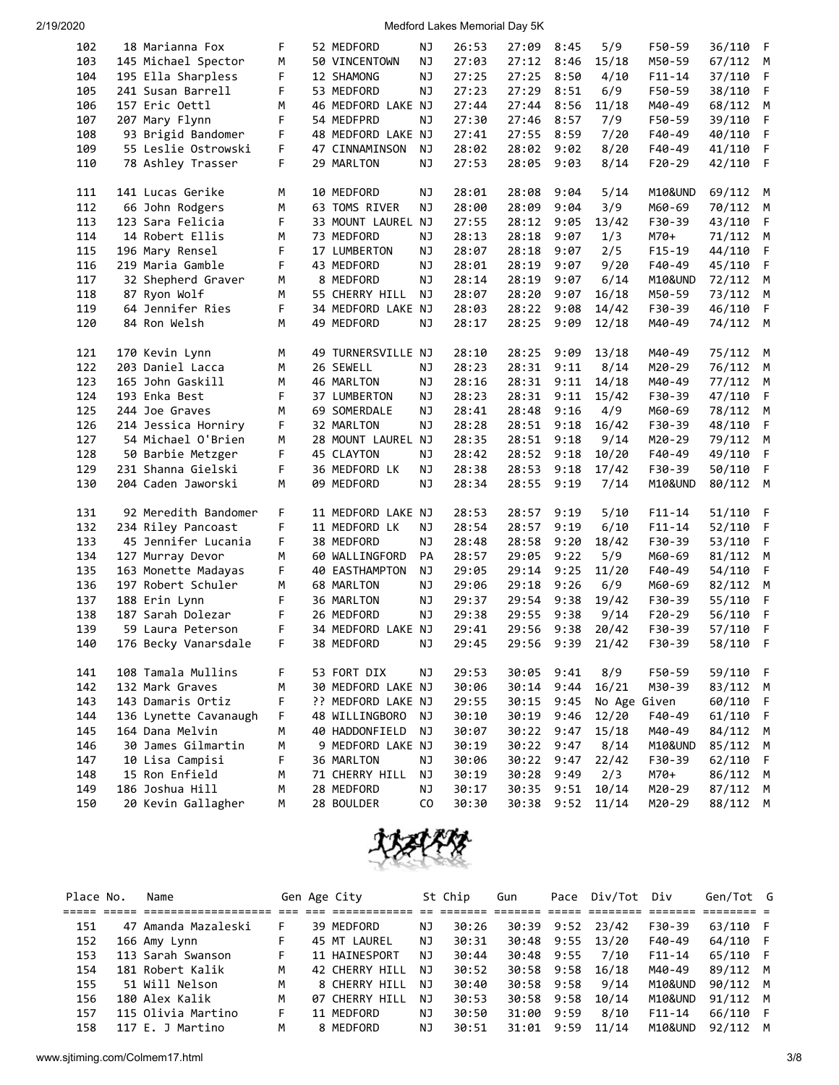| 102 | 18 Marianna Fox       | F | 52 MEDFORD         | ΝJ             | 26:53 | 27:09 | 8:45 | 5/9          | F50-59     | 36/110 | F |
|-----|-----------------------|---|--------------------|----------------|-------|-------|------|--------------|------------|--------|---|
| 103 | 145 Michael Spector   | М | 50 VINCENTOWN      | NJ             | 27:03 | 27:12 | 8:46 | 15/18        | M50-59     | 67/112 | М |
| 104 | 195 Ella Sharpless    | F | 12 SHAMONG         | <b>NJ</b>      | 27:25 | 27:25 | 8:50 | 4/10         | $F11 - 14$ | 37/110 | F |
| 105 | 241 Susan Barrell     | F | 53 MEDFORD         | ΝJ             | 27:23 | 27:29 | 8:51 | 6/9          | F50-59     | 38/110 | F |
| 106 | 157 Eric Oettl        | М | 46 MEDFORD LAKE NJ |                | 27:44 | 27:44 | 8:56 | 11/18        | M40-49     | 68/112 | м |
| 107 | 207 Mary Flynn        | F | 54 MEDFPRD         | ΝJ             | 27:30 | 27:46 | 8:57 | 7/9          | F50-59     | 39/110 | F |
| 108 | 93 Brigid Bandomer    | F | 48 MEDFORD LAKE NJ |                | 27:41 | 27:55 | 8:59 | 7/20         | F40-49     | 40/110 | F |
| 109 | 55 Leslie Ostrowski   | F | 47 CINNAMINSON     | ΝJ             | 28:02 | 28:02 | 9:02 | 8/20         | F40-49     | 41/110 | F |
| 110 | 78 Ashley Trasser     | F | 29 MARLTON         | ΝJ             | 27:53 | 28:05 | 9:03 | 8/14         | $F20-29$   | 42/110 | F |
|     |                       |   |                    |                |       |       |      |              |            |        |   |
| 111 | 141 Lucas Gerike      | М | 10 MEDFORD         | <b>NJ</b>      | 28:01 | 28:08 | 9:04 | 5/14         | M10&UND    | 69/112 | М |
| 112 | 66 John Rodgers       | М | 63 TOMS RIVER      | ΝJ             | 28:00 | 28:09 | 9:04 | 3/9          | M60-69     | 70/112 | М |
| 113 | 123 Sara Felicia      | F | 33 MOUNT LAUREL NJ |                | 27:55 | 28:12 | 9:05 | 13/42        | F30-39     | 43/110 | F |
| 114 | 14 Robert Ellis       | М | 73 MEDFORD         | ΝJ             | 28:13 | 28:18 | 9:07 | 1/3          | M70+       | 71/112 | м |
| 115 | 196 Mary Rensel       | F | 17 LUMBERTON       | NJ             | 28:07 | 28:18 | 9:07 | 2/5          | $F15 - 19$ | 44/110 | F |
| 116 | 219 Maria Gamble      | F | 43 MEDFORD         | <b>NJ</b>      | 28:01 | 28:19 | 9:07 | 9/20         | F40-49     | 45/110 | F |
| 117 | 32 Shepherd Graver    | М | 8 MEDFORD          | ΝJ             | 28:14 | 28:19 | 9:07 | 6/14         | M10&UND    | 72/112 | М |
| 118 | 87 Ryon Wolf          | М | 55 CHERRY HILL     | ΝJ             | 28:07 | 28:20 | 9:07 | 16/18        | M50-59     | 73/112 | М |
| 119 | 64 Jennifer Ries      | F | 34 MEDFORD LAKE NJ |                | 28:03 | 28:22 | 9:08 | 14/42        | F30-39     | 46/110 | F |
| 120 | 84 Ron Welsh          | М | 49 MEDFORD         | <b>NJ</b>      | 28:17 | 28:25 | 9:09 | 12/18        | M40-49     | 74/112 | M |
|     |                       |   |                    |                |       |       |      |              |            |        |   |
| 121 | 170 Kevin Lynn        | М | 49 TURNERSVILLE NJ |                | 28:10 | 28:25 | 9:09 | 13/18        | M40-49     | 75/112 | М |
| 122 | 203 Daniel Lacca      | М | 26 SEWELL          | ΝJ             | 28:23 | 28:31 | 9:11 | 8/14         | M20-29     | 76/112 | М |
| 123 | 165 John Gaskill      | м | 46 MARLTON         | <b>NJ</b>      | 28:16 | 28:31 | 9:11 | 14/18        | M40-49     | 77/112 | М |
| 124 | 193 Enka Best         | F | 37 LUMBERTON       | ΝJ             | 28:23 | 28:31 | 9:11 | 15/42        | F30-39     | 47/110 | F |
| 125 | 244 Joe Graves        | м | 69 SOMERDALE       | ΝJ             | 28:41 | 28:48 | 9:16 | 4/9          | M60-69     | 78/112 | М |
| 126 | 214 Jessica Horniry   | F | 32 MARLTON         | ΝJ             | 28:28 | 28:51 | 9:18 | 16/42        | F30-39     | 48/110 | F |
| 127 | 54 Michael O'Brien    | М | 28 MOUNT LAUREL NJ |                | 28:35 | 28:51 | 9:18 | 9/14         | M20-29     | 79/112 | M |
| 128 | 50 Barbie Metzger     | F | 45 CLAYTON         | ΝJ             | 28:42 | 28:52 | 9:18 | 10/20        | F40-49     | 49/110 | F |
| 129 | 231 Shanna Gielski    | F | 36 MEDFORD LK      | ΝJ             | 28:38 | 28:53 | 9:18 | 17/42        | F30-39     | 50/110 | F |
| 130 | 204 Caden Jaworski    | M | 09 MEDFORD         | ΝJ             | 28:34 | 28:55 | 9:19 | 7/14         | M10&UND    | 80/112 | М |
|     |                       |   |                    |                |       |       |      |              |            |        |   |
| 131 | 92 Meredith Bandomer  | F | 11 MEDFORD LAKE NJ |                | 28:53 | 28:57 | 9:19 | 5/10         | $F11 - 14$ | 51/110 | F |
| 132 | 234 Riley Pancoast    | F | 11 MEDFORD LK      | ΝJ             | 28:54 | 28:57 | 9:19 | 6/10         | $F11 - 14$ | 52/110 | F |
| 133 | 45 Jennifer Lucania   | F | 38 MEDFORD         | ΝJ             | 28:48 | 28:58 | 9:20 | 18/42        | F30-39     | 53/110 | F |
| 134 | 127 Murray Devor      | М | 60 WALLINGFORD     | PA             | 28:57 | 29:05 | 9:22 | 5/9          | M60-69     | 81/112 | M |
| 135 | 163 Monette Madayas   | F | 40 EASTHAMPTON     | ΝJ             | 29:05 | 29:14 | 9:25 | 11/20        | F40-49     | 54/110 | F |
| 136 | 197 Robert Schuler    | M | 68 MARLTON         | <b>NJ</b>      | 29:06 | 29:18 | 9:26 | 6/9          | M60-69     | 82/112 | M |
| 137 | 188 Erin Lynn         | F | 36 MARLTON         | <b>NJ</b>      | 29:37 | 29:54 | 9:38 | 19/42        | F30-39     | 55/110 | F |
| 138 | 187 Sarah Dolezar     | F | 26 MEDFORD         | ΝJ             | 29:38 | 29:55 | 9:38 | 9/14         | $F20-29$   | 56/110 | F |
| 139 | 59 Laura Peterson     | F | 34 MEDFORD LAKE NJ |                | 29:41 | 29:56 | 9:38 | 20/42        | F30-39     | 57/110 | F |
| 140 | 176 Becky Vanarsdale  | F | 38 MEDFORD         | <b>NJ</b>      | 29:45 | 29:56 | 9:39 | 21/42        | F30-39     | 58/110 | F |
|     |                       |   |                    |                |       |       |      |              |            |        |   |
| 141 | 108 Tamala Mullins    | F | 53 FORT DIX        | ΝJ             | 29:53 | 30:05 | 9:41 | 8/9          | F50-59     | 59/110 | F |
| 142 | 132 Mark Graves       | М | 30 MEDFORD LAKE NJ |                | 30:06 | 30:14 | 9:44 | 16/21        | M30-39     | 83/112 | М |
| 143 | 143 Damaris Ortiz     | F | ?? MEDFORD LAKE NJ |                | 29:55 | 30:15 | 9:45 | No Age Given |            | 60/110 | F |
| 144 | 136 Lynette Cavanaugh | F | 48 WILLINGBORO     | ΝJ             | 30:10 | 30:19 | 9:46 | 12/20        | F40-49     | 61/110 | F |
| 145 | 164 Dana Melvin       | М | 40 HADDONFIELD     | ΝJ             | 30:07 | 30:22 | 9:47 | 15/18        | M40-49     | 84/112 | M |
| 146 | 30 James Gilmartin    | M | 9 MEDFORD LAKE NJ  |                | 30:19 | 30:22 | 9:47 | 8/14         | M10&UND    | 85/112 | М |
| 147 | 10 Lisa Campisi       | F | 36 MARLTON         | <b>NJ</b>      | 30:06 | 30:22 | 9:47 | 22/42        | F30-39     | 62/110 | F |
| 148 | 15 Ron Enfield        | М | 71 CHERRY HILL     | <b>NJ</b>      | 30:19 | 30:28 | 9:49 | 2/3          | M70+       | 86/112 | М |
| 149 | 186 Joshua Hill       | М | 28 MEDFORD         | ΝJ             | 30:17 | 30:35 | 9:51 | 10/14        | M20-29     | 87/112 | М |
| 150 | 20 Kevin Gallagher    | м | 28 BOULDER         | C <sub>0</sub> | 30:30 | 30:38 | 9:52 | 11/14        | M20-29     | 88/112 | M |



| Place No. | Name                |    | Gen Age City   |    | St Chip | Gun        | Pace | Div/Tot          | Div        | Gen/Tot G |  |
|-----------|---------------------|----|----------------|----|---------|------------|------|------------------|------------|-----------|--|
|           |                     |    |                |    |         |            |      |                  |            |           |  |
| 151       | 47 Amanda Mazaleski | F. | 39 MEDFORD     | ΝJ | 30:26   |            |      | 30:39 9:52 23/42 | F30-39     | 63/110 F  |  |
| 152       | 166 Amy Lynn        | F. | 45 MT LAUREL   | ΝJ | 30:31   |            |      | 30:48 9:55 13/20 | F40-49     | 64/110 F  |  |
| 153       | 113 Sarah Swanson   | F. | 11 HAINESPORT  | ΝJ | 30:44   | 30:48 9:55 |      | 7/10             | $F11 - 14$ | 65/110 F  |  |
| 154       | 181 Robert Kalik    | м  | 42 CHERRY HILL | NJ | 30:52   |            |      | 30:58 9:58 16/18 | M40-49     | 89/112 M  |  |
| 155       | 51 Will Nelson      | м  | 8 CHERRY HILL  | ΝJ | 30:40   | 30:58 9:58 |      | 9/14             | M10&UND    | 90/112 M  |  |
| 156       | 180 Alex Kalik      | м  | 07 CHERRY HILL | ΝJ | 30:53   | 30:58 9:58 |      | 10/14            | M10&UND    | 91/112 M  |  |
| 157       | 115 Olivia Martino  | F. | 11 MEDFORD     | ΝJ | 30:50   | 31:00      | 9:59 | 8/10             | $F11 - 14$ | 66/110 F  |  |
| 158       | 117 E. J Martino    | м  | 8 MEDFORD      | ΝJ | 30:51   | 31:01      | 9:59 | 11/14            | M10&UND    | 92/112 M  |  |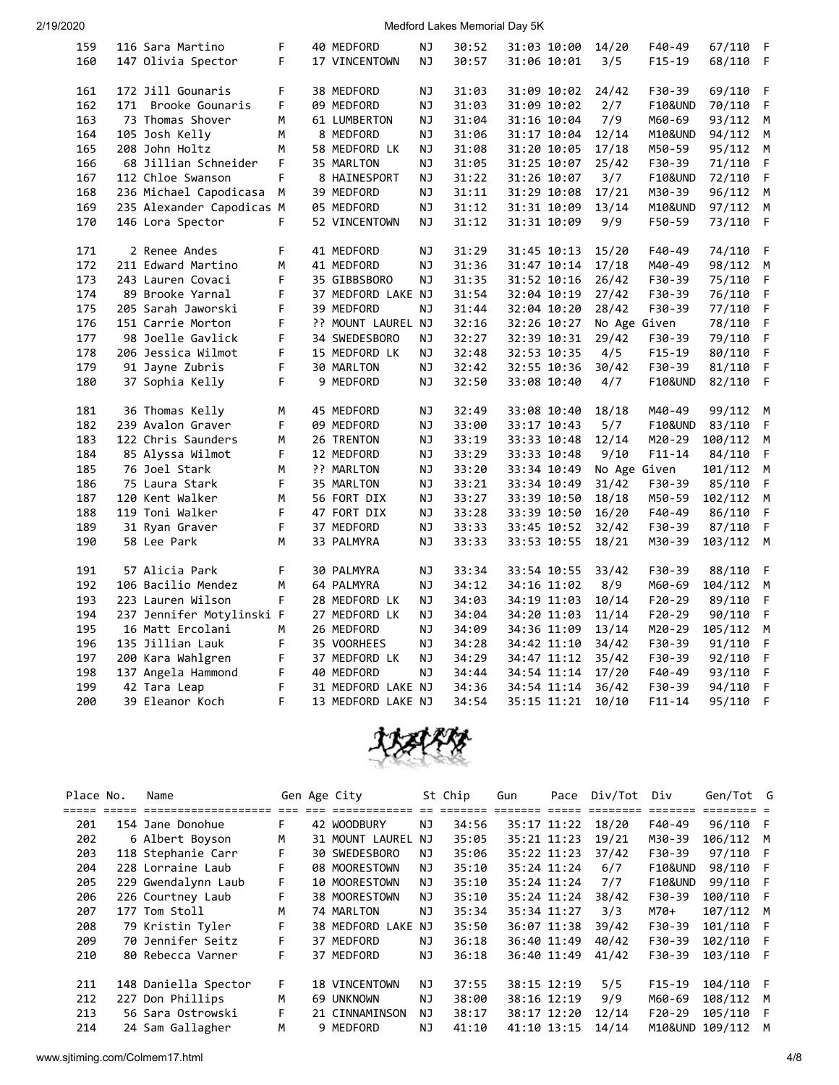| 159 | 116 Sara Martino          | F  | 40 MEDFORD         | ΝJ        | 30:52 | 31:03 10:00 |             | 14/20        | $F40-49$           | 67/110  | F |
|-----|---------------------------|----|--------------------|-----------|-------|-------------|-------------|--------------|--------------------|---------|---|
| 160 | 147 Olivia Spector        | F  | 17 VINCENTOWN      | ΝJ        | 30:57 | 31:06 10:01 |             | 3/5          | $F15 - 19$         | 68/110  | F |
|     |                           |    |                    |           |       |             |             |              |                    |         |   |
| 161 | 172 Jill Gounaris         | F. | 38 MEDFORD         | NJ        | 31:03 |             | 31:09 10:02 | 24/42        | F30-39             | 69/110  | F |
| 162 | 171 Brooke Gounaris       | F  | 09 MEDFORD         | <b>NJ</b> | 31:03 | 31:09 10:02 |             | 2/7          | <b>F10&amp;UND</b> | 70/110  | F |
| 163 | 73 Thomas Shover          | М  | 61 LUMBERTON       | ΝJ        | 31:04 | 31:16 10:04 |             | 7/9          | M60-69             | 93/112  | М |
| 164 | 105 Josh Kelly            | М  | 8 MEDFORD          | NJ        | 31:06 | 31:17 10:04 |             | 12/14        | M10&UND            | 94/112  | M |
| 165 | 208 John Holtz            | М  | 58 MEDFORD LK      | <b>NJ</b> | 31:08 | 31:20 10:05 |             | 17/18        | M50-59             | 95/112  | M |
| 166 | 68 Jillian Schneider      | F  | 35 MARLTON         | NJ        | 31:05 | 31:25 10:07 |             | 25/42        | F30-39             | 71/110  | F |
| 167 | 112 Chloe Swanson         | F. | 8 HAINESPORT       | ΝJ        | 31:22 | 31:26 10:07 |             | 3/7          | <b>F10&amp;UND</b> | 72/110  | F |
| 168 | 236 Michael Capodicasa    | M  | 39 MEDFORD         | NJ        | 31:11 | 31:29 10:08 |             | 17/21        | M30-39             | 96/112  | M |
| 169 | 235 Alexander Capodicas M |    | 05 MEDFORD         | ΝJ        | 31:12 | 31:31 10:09 |             | 13/14        | M10&UND            | 97/112  | M |
| 170 | 146 Lora Spector          | F  | 52 VINCENTOWN      | ΝJ        | 31:12 | 31:31 10:09 |             | 9/9          | F50-59             | 73/110  | F |
|     |                           |    |                    |           |       |             |             |              |                    |         |   |
| 171 | 2 Renee Andes             | F  | 41 MEDFORD         | ΝJ        | 31:29 | 31:45 10:13 |             | 15/20        | F40-49             | 74/110  | F |
| 172 | 211 Edward Martino        | М  | 41 MEDFORD         | NJ        | 31:36 | 31:47 10:14 |             | 17/18        | M40-49             | 98/112  | M |
| 173 | 243 Lauren Covaci         | F  | 35 GIBBSBORO       | ΝJ        | 31:35 | 31:52 10:16 |             | 26/42        | F30-39             | 75/110  | F |
| 174 | 89 Brooke Yarnal          | F. | 37 MEDFORD LAKE NJ |           | 31:54 | 32:04 10:19 |             | 27/42        | F30-39             | 76/110  | F |
| 175 | 205 Sarah Jaworski        | F  | 39 MEDFORD         | NJ        | 31:44 | 32:04 10:20 |             | 28/42        | F30-39             | 77/110  | F |
| 176 | 151 Carrie Morton         | F  | ?? MOUNT LAUREL NJ |           | 32:16 | 32:26 10:27 |             | No Age Given |                    | 78/110  | F |
| 177 | 98 Joelle Gavlick         | F  | 34 SWEDESBORO      | ΝJ        | 32:27 | 32:39 10:31 |             | 29/42        | F30-39             | 79/110  | F |
| 178 | 206 Jessica Wilmot        | F. | 15 MEDFORD LK      | ΝJ        | 32:48 | 32:53 10:35 |             | 4/5          | $F15 - 19$         | 80/110  | F |
| 179 | 91 Jayne Zubris           | F  | 30 MARLTON         | NJ        | 32:42 | 32:55 10:36 |             | 30/42        | F30-39             | 81/110  | F |
| 180 | 37 Sophia Kelly           | F  | 9 MEDFORD          | ΝJ        | 32:50 | 33:08 10:40 |             | 4/7          | <b>F10&amp;UND</b> | 82/110  | F |
|     |                           |    |                    |           |       |             |             |              |                    |         |   |
| 181 | 36 Thomas Kelly           | M  | 45 MEDFORD         | NJ        | 32:49 | 33:08 10:40 |             | 18/18        | M40-49             | 99/112  | М |
| 182 | 239 Avalon Graver         | F. | 09 MEDFORD         | NJ        | 33:00 | 33:17 10:43 |             | 5/7          | <b>F10&amp;UND</b> | 83/110  | F |
| 183 | 122 Chris Saunders        | М  | 26 TRENTON         | NJ        | 33:19 | 33:33 10:48 |             | 12/14        | M20-29             | 100/112 | M |
| 184 | 85 Alyssa Wilmot          | F. | 12 MEDFORD         | NJ        | 33:29 | 33:33 10:48 |             | 9/10         | $F11 - 14$         | 84/110  | F |
| 185 | 76 Joel Stark             | М  | ?? MARLTON         | NJ        | 33:20 | 33:34 10:49 |             | No Age Given |                    | 101/112 | M |
| 186 | 75 Laura Stark            | F  | 35 MARLTON         | ΝJ        | 33:21 | 33:34 10:49 |             | 31/42        | F30-39             | 85/110  | F |
| 187 | 120 Kent Walker           | M  | 56 FORT DIX        | NJ        | 33:27 | 33:39 10:50 |             | 18/18        | M50-59             | 102/112 | M |
| 188 | 119 Toni Walker           | F  | 47 FORT DIX        | ΝJ        | 33:28 | 33:39 10:50 |             | 16/20        | F40-49             | 86/110  | F |
| 189 | 31 Ryan Graver            | F  | 37 MEDFORD         | NJ        | 33:33 | 33:45 10:52 |             | 32/42        | F30-39             | 87/110  | F |
| 190 | 58 Lee Park               | M  | 33 PALMYRA         | NJ        | 33:33 | 33:53 10:55 |             | 18/21        | M30-39             | 103/112 | M |
|     |                           |    |                    |           |       |             |             |              |                    |         |   |
| 191 | 57 Alicia Park            | F  | 30 PALMYRA         | ΝJ        | 33:34 | 33:54 10:55 |             | 33/42        | F30-39             | 88/110  | F |
| 192 | 106 Bacilio Mendez        | М  | 64 PALMYRA         | NJ        | 34:12 | 34:16 11:02 |             | 8/9          | M60-69             | 104/112 | М |
| 193 | 223 Lauren Wilson         | F. | 28 MEDFORD LK      | NJ        | 34:03 | 34:19 11:03 |             | 10/14        | $F20-29$           | 89/110  | F |
| 194 | 237 Jennifer Motylinski F |    | 27 MEDFORD LK      | NJ        | 34:04 | 34:20 11:03 |             | 11/14        | $F20-29$           | 90/110  | F |
| 195 | 16 Matt Ercolani          | М  | 26 MEDFORD         | NJ        | 34:09 |             | 34:36 11:09 | 13/14        | M20-29             | 105/112 | M |
| 196 | 135 Jillian Lauk          | F  | 35 VOORHEES        | ΝJ        | 34:28 |             | 34:42 11:10 | 34/42        | F30-39             | 91/110  | F |
| 197 | 200 Kara Wahlgren         | F. | 37 MEDFORD LK      | ΝJ        | 34:29 | 34:47 11:12 |             | 35/42        | F30-39             | 92/110  | F |
| 198 | 137 Angela Hammond        | F  | 40 MEDFORD         | NJ        | 34:44 |             | 34:54 11:14 | 17/20        | F40-49             | 93/110  | F |
| 199 | 42 Tara Leap              | F  | 31 MEDFORD LAKE NJ |           | 34:36 |             | 34:54 11:14 | 36/42        | F30-39             | 94/110  | F |
| 200 | 39 Eleanor Koch           | F. | 13 MEDFORD LAKE NJ |           | 34:54 | 35:15 11:21 |             | 10/10        | $F11 - 14$         | 95/110  | F |
|     |                           |    |                    |           |       |             |             |              |                    |         |   |



| Place No. | Name                 |    | Gen Age City       |    | St Chip | Gun         | Pace        | Div/Tot | Div                | Gen/Tot G         |     |
|-----------|----------------------|----|--------------------|----|---------|-------------|-------------|---------|--------------------|-------------------|-----|
|           |                      |    |                    |    |         |             |             |         |                    |                   |     |
| 201       | 154 Jane Donohue     | F. | 42 WOODBURY        | ΝJ | 34:56   |             | 35:17 11:22 | 18/20   | $F40-49$           | 96/110 F          |     |
| 202       | 6 Albert Boyson      | M  | 31 MOUNT LAUREL NJ |    | 35:05   | 35:21 11:23 |             | 19/21   | M30-39             | 106/112 M         |     |
| 203       | 118 Stephanie Carr   | F. | 30 SWEDESBORO      | ΝJ | 35:06   | 35:22 11:23 |             | 37/42   | F30-39             | 97/110 F          |     |
| 204       | 228 Lorraine Laub    | F. | 08 MOORESTOWN      | ΝJ | 35:10   | 35:24 11:24 |             | 6/7     | <b>F10&amp;UND</b> | 98/110 F          |     |
| 205       | 229 Gwendalynn Laub  | F. | 10 MOORESTOWN      | NJ | 35:10   | 35:24 11:24 |             | 7/7     | <b>F10&amp;UND</b> | 99/110 F          |     |
| 206       | 226 Courtney Laub    | F. | 38 MOORESTOWN      | ΝJ | 35:10   | 35:24 11:24 |             | 38/42   | F30-39             | 100/110 F         |     |
| 207       | 177 Tom Stoll        | м  | 74 MARLTON         | ΝJ | 35:34   | 35:34 11:27 |             | 3/3     | M70+               | 107/112 M         |     |
| 208       | 79 Kristin Tyler     | F  | 38 MEDFORD LAKE    | NJ | 35:50   | 36:07 11:38 |             | 39/42   | F30-39             | 101/110 F         |     |
| 209       | 70 Jennifer Seitz    | F. | 37 MEDFORD         | ΝJ | 36:18   | 36:40 11:49 |             | 40/42   | F30-39             | 102/110 F         |     |
| 210       | 80 Rebecca Varner    | F. | 37 MEDFORD         | NJ | 36:18   | 36:40 11:49 |             | 41/42   | F30-39             | 103/110 F         |     |
| 211       | 148 Daniella Spector | F. | 18 VINCENTOWN      | ΝJ | 37:55   | 38:15 12:19 |             | 5/5     | $F15-19$           | 104/110 F         |     |
| 212       | 227 Don Phillips     | M  | 69 UNKNOWN         | ΝJ | 38:00   | 38:16 12:19 |             | 9/9     | M60-69             | 108/112 M         |     |
| 213       | 56 Sara Ostrowski    | F. | 21 CINNAMINSON     | ΝJ | 38:17   | 38:17 12:20 |             | 12/14   | $F20-29$           | 105/110           | - F |
| 214       | 24 Sam Gallagher     | м  | 9 MEDFORD          | NJ | 41:10   | 41:10 13:15 |             | 14/14   |                    | M10&UND 109/112 M |     |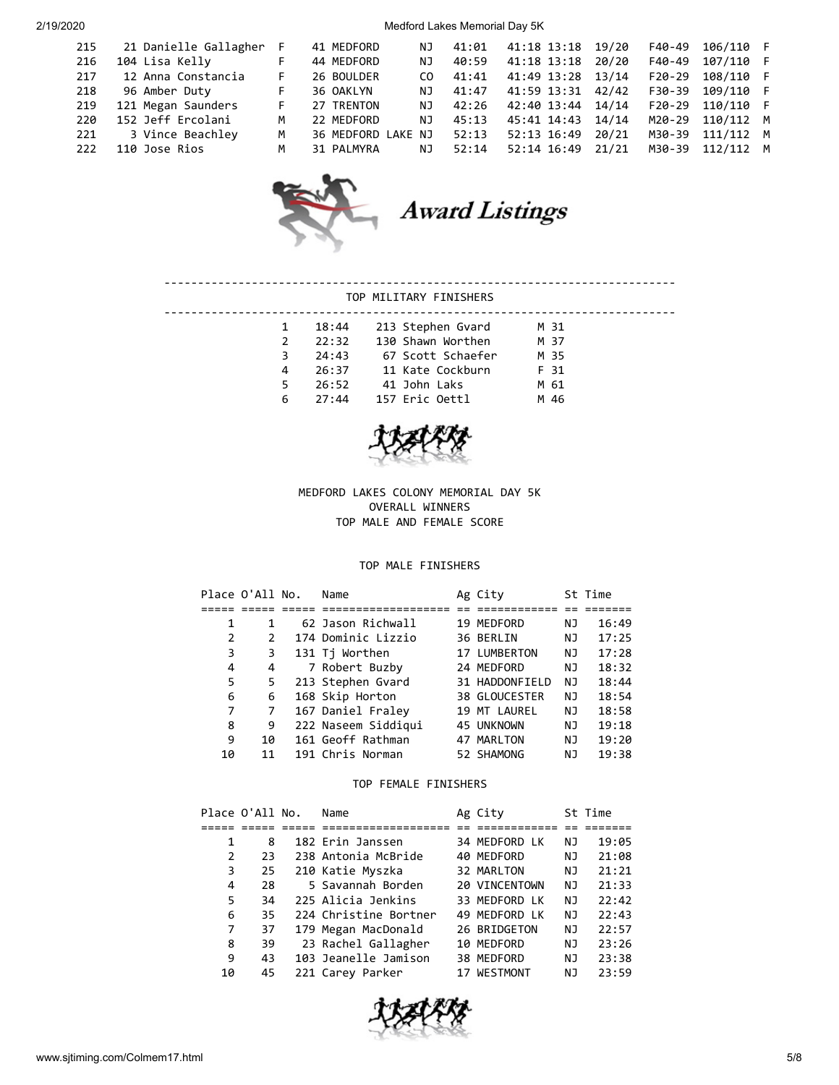| 215 | 21 Danielle Gallagher | F |
|-----|-----------------------|---|
| 216 | 104 Lisa Kelly        |   |
| 217 | 12 Anna Constancia    | F |
| 218 | 96 Amber Duty         | F |
| 219 | 121 Megan Saunders    | F |
| 220 | 152 Jeff Ercolani     | ۸ |
| 221 | 3 Vince Beachley      | ۸ |
| 222 | 110 Jose Rios         | ۸ |
|     |                       |   |

| 215<br>216<br>217<br>218<br>219<br>220<br>221 | 21 Danielle Gallagher<br>104 Lisa Kelly<br>12 Anna Constancia<br>96 Amber Duty<br>121 Megan Saunders<br>152 Jeff Ercolani<br>3 Vince Beachley | F<br>F.<br>F.<br>F<br>м<br>м | 41 MEDFORD<br>44 MEDFORD<br>26 BOULDER<br>36 OAKLYN<br>27 TRENTON<br>22 MEDFORD<br>36 MEDFORD LAKE NJ | ΝJ<br>ΝJ<br>CO.<br>ΝJ<br>ΝJ<br>ΝJ | 41:01<br>40:59<br>41:41<br>41:47<br>42:26<br>45:13<br>52:13 | 41:18 13:18<br>41:18 13:18<br>41:49 13:28<br>41:59 13:31<br>42:40 13:44<br>45:41 14:43<br>52:13 16:49 | 19/20<br>20/20<br>13/14<br>42/42<br>14/14<br>14/14<br>20/21 | F40-49<br>F40-49<br>$F20-29$<br>F30-39<br>$F20-29$<br>M20-29<br>M30-39 | 106/110<br>107/110<br>108/110<br>109/110<br>110/110<br>110/112 M<br>111/112 M | F<br>F<br>F<br>F |
|-----------------------------------------------|-----------------------------------------------------------------------------------------------------------------------------------------------|------------------------------|-------------------------------------------------------------------------------------------------------|-----------------------------------|-------------------------------------------------------------|-------------------------------------------------------------------------------------------------------|-------------------------------------------------------------|------------------------------------------------------------------------|-------------------------------------------------------------------------------|------------------|
| 222                                           | 110 Jose Rios                                                                                                                                 | м                            | 31 PALMYRA                                                                                            | NJ                                | 52:14                                                       | 52:14 16:49                                                                                           | 21/21                                                       | M30-39                                                                 | 112/112 M                                                                     |                  |



Award Listings

## TOP MILITARY FINISHERS

----------------------------------------------------------------------------

|    | 18:44 | 213 Stephen Gvard | M 31 |
|----|-------|-------------------|------|
|    | 22:32 | 130 Shawn Worthen | M 37 |
| 3  | 24:43 | 67 Scott Schaefer | M 35 |
| 4  | 26:37 | 11 Kate Cockburn  | F 31 |
| 5. | 26:52 | 41 John Laks      | M 61 |
| 6  | 27:44 | 157 Eric Oettl    | M 46 |
|    |       |                   |      |



MEDFORD LAKES COLONY MEMORIAL DAY 5K OVERALL WINNERS TOP MALE AND FEMALE SCORE

## TOP MALE FINISHERS

|    | Place O'All No. | Name                | Ag City        |    | St Time |
|----|-----------------|---------------------|----------------|----|---------|
|    |                 |                     |                |    |         |
| 1  | 1               | 62 Jason Richwall   | 19 MEDFORD     | ΝJ | 16:49   |
| 2  | 2               | 174 Dominic Lizzio  | 36 BERLIN      | ΝJ | 17:25   |
| 3  | 3               | 131 Tj Worthen      | 17 LUMBERTON   | ΝJ | 17:28   |
| 4  | 4               | 7 Robert Buzby      | 24 MEDFORD     | ΝJ | 18:32   |
| 5  | 5               | 213 Stephen Gvard   | 31 HADDONFIELD | ΝJ | 18:44   |
| 6  | 6               | 168 Skip Horton     | 38 GLOUCESTER  | ΝJ | 18:54   |
| 7  | 7               | 167 Daniel Fraley   | 19 MT LAUREL   | ΝJ | 18:58   |
| 8  | 9               | 222 Naseem Siddiqui | 45 UNKNOWN     | ΝJ | 19:18   |
| 9  | 10              | 161 Geoff Rathman   | 47 MARLTON     | ΝJ | 19:20   |
| 10 | 11              | 191 Chris Norman    | 52 SHAMONG     | ΝJ | 19:38   |

## TOP FEMALE FINISHERS

|    | Place O'All No. | Name                  | Ag City       |    | St Time |
|----|-----------------|-----------------------|---------------|----|---------|
|    |                 |                       |               |    |         |
| 1  | 8               | 182 Erin Janssen      | 34 MEDFORD LK | ΝJ | 19:05   |
| 2  | 23              | 238 Antonia McBride   | 40 MEDFORD    | ΝJ | 21:08   |
| 3  | 25              | 210 Katie Myszka      | 32 MARLTON    | ΝJ | 21:21   |
| 4  | 28              | 5 Savannah Borden     | 20 VINCENTOWN | ΝJ | 21:33   |
| 5  | 34              | 225 Alicia Jenkins    | 33 MEDFORD LK | ΝJ | 22:42   |
| 6  | 35              | 224 Christine Bortner | 49 MEDFORD LK | ΝJ | 22:43   |
| 7  | 37              | 179 Megan MacDonald   | 26 BRIDGETON  | ΝJ | 22:57   |
| 8  | 39              | 23 Rachel Gallagher   | 10 MEDFORD    | ΝJ | 23:26   |
| 9  | 43              | 103 Jeanelle Jamison  | 38 MEDFORD    | ΝJ | 23:38   |
| 10 | 45              | 221 Carey Parker      | 17 WESTMONT   | ΝJ | 23:59   |

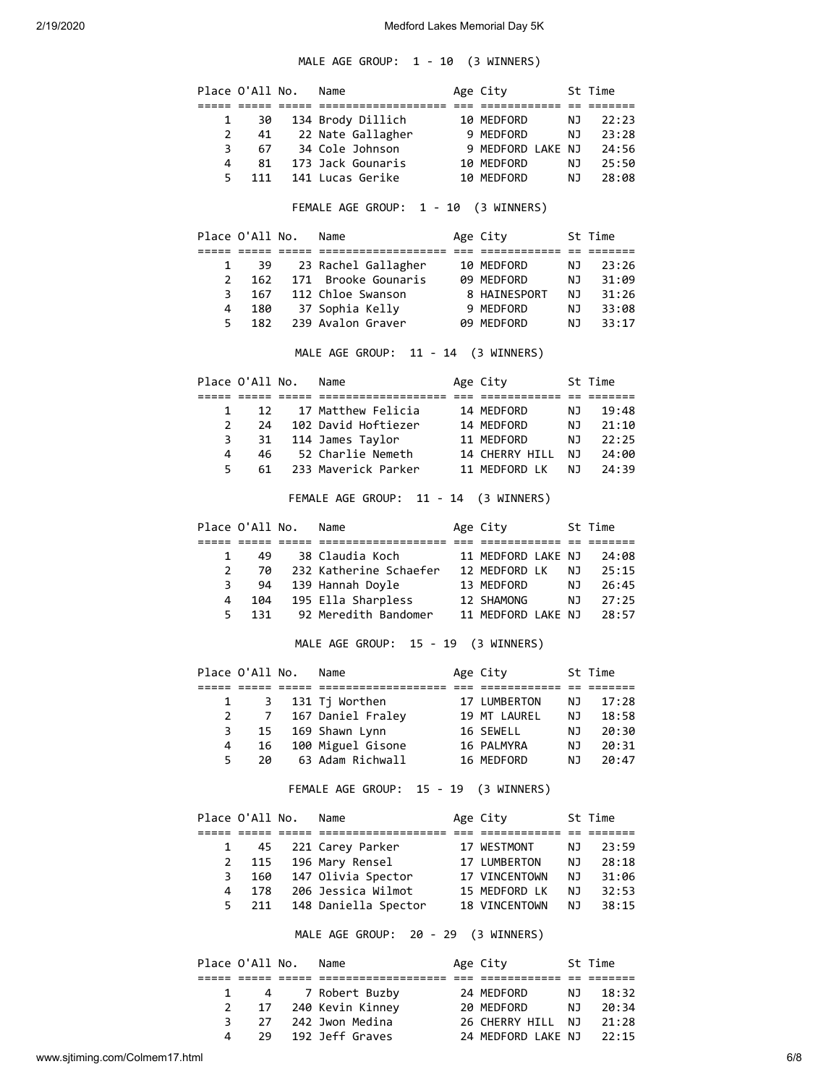MALE AGE GROUP: 1 - 10 (3 WINNERS)

|                | Place O'All No. | Name                                                         | Age City                       |           | St Time                          |
|----------------|-----------------|--------------------------------------------------------------|--------------------------------|-----------|----------------------------------|
| 1              | 30              | 134 Brody Dillich                                            | 10 MEDFORD                     | ΝJ        | 22:23                            |
| 2              | 41              | 22 Nate Gallagher 9 MEDFORD                                  |                                | NJ        | 23:28                            |
| 3              | 67              | 34 Cole Johnson                                              | 9 MEDFORD LAKE NJ              |           | 24:56                            |
| 4              | 81              | 173 Jack Gounaris                                            | 10 MEDFORD                     | <b>NJ</b> | 25:50                            |
| 5              | 111             | 141 Lucas Gerike                                             | 10 MEDFORD                     | NJ        | 28:08                            |
|                |                 | FEMALE AGE GROUP: 1 - 10 (3 WINNERS)                         |                                |           |                                  |
|                |                 |                                                              |                                |           |                                  |
|                | Place O'All No. | Name                                                         | Age City                       |           | St Time                          |
| 1              | 39              | 23 Rachel Gallagher                                          | 10 MEDFORD                     | NJ        | 23:26                            |
| 2              | 162             | 171 Brooke Gounaris                                          | 09 MEDFORD                     | NJ        | 31:09                            |
| 3              | 167             | 112 Chloe Swanson                                            | 8 HAINESPORT                   | <b>NJ</b> | 31:26                            |
| 4              |                 | 180 37 Sophia Kelly                                          | 9 MEDFORD                      | NJ 1      | 33:08                            |
| 5              | 182             | 239 Avalon Graver                                            | 09 MEDFORD                     | NJ        | 33:17                            |
|                |                 | MALE AGE GROUP: 11 - 14 (3 WINNERS)                          |                                |           |                                  |
|                | Place O'All No. | Name                                                         | Age City                       |           | St Time                          |
| 1              | 12              | 17 Matthew Felicia                                           | 14 MEDFORD                     | NJ        | 19:48                            |
| $\overline{2}$ | 24              | 102 David Hoftiezer                                          | 14 MEDFORD                     | NJ        | 21:10                            |
| 3              | 31              | 114 James Taylor                                             | 11 MEDFORD                     | NJ        | 22:25                            |
| 4              | 46              | 52 Charlie Nemeth                                            | 14 CHERRY HILL                 | NJ        | 24:00                            |
| 5              | 61              | 233 Maverick Parker                                          | 11 MEDFORD LK                  | NJ 1      | 24:39                            |
|                |                 | FEMALE AGE GROUP: 11 - 14 (3 WINNERS)                        |                                |           |                                  |
|                | Place O'All No. | Name                                                         | Age City                       |           | St Time                          |
|                |                 |                                                              |                                |           |                                  |
| 1              | 49              | 38 Claudia Koch                                              | 11 MEDFORD LAKE NJ             |           | 24:08                            |
| $\overline{2}$ | 70              | 232 Katherine Schaefer 12 MEDFORD LK                         |                                | <b>NJ</b> | 25:15                            |
| 3              | 94              |                                                              |                                |           | 26:45                            |
| 4              | 104             | 139 Hannah Doyle 13 MEDFORD<br>195 Ella Sharpless 12 SHAMONG |                                | NJ<br>NJ  | 27:25                            |
| 5              | 131             | 92 Meredith Bandomer 11 MEDFORD LAKE NJ                      |                                |           | 28:57                            |
|                |                 |                                                              |                                |           |                                  |
|                |                 | MALE AGE GROUP: 15 - 19 (3 WINNERS)                          |                                |           |                                  |
|                | Place O'All No. | Name                                                         | Age City 5t Time               |           |                                  |
|                |                 |                                                              |                                |           |                                  |
| 1              | 3               | 131 Tj Worthen                                               | 17 LUMBERTON                   | NJ        | 17:28                            |
| $\overline{2}$ | $7\overline{ }$ | 167 Daniel Fraley                                            | 19 MT LAUREL                   | ΝJ        |                                  |
| 3              | 15              | 169 Shawn Lynn                                               | 16 SEWELL                      | NJ        |                                  |
| 4              | 16              | 100 Miguel Gisone                                            | 16 PALMYRA                     | NJ        |                                  |
| 5              | 20              | 63 Adam Richwall                                             | 16 MEDFORD                     | NJ        | 18:58<br>20:30<br>20:31<br>20:47 |
|                |                 | FEMALE AGE GROUP: 15 - 19 (3 WINNERS)                        |                                |           |                                  |
|                | Place O'All No. | Name                                                         | Age City                       |           | St Time                          |
| 1              | 45              |                                                              | 17 WESTMONT                    | ΝJ        |                                  |
|                |                 | 221 Carey Parker                                             |                                |           |                                  |
| $\overline{2}$ | 115             | 196 Mary Rensel                                              | 17 LUMBERTON                   | <b>NJ</b> |                                  |
| 3<br>4         | 160             | 147 Olivia Spector<br>206 Jessica Wilmot                     | 17 VINCENTOWN                  | NJ 1      | 23:59<br>28:18<br>31:06          |
| 5              | 178<br>211      | 148 Daniella Spector                                         | 15 MEDFORD LK<br>18 VINCENTOWN | NJ<br>ΝJ  | 32:53<br>38:15                   |

| Place O'All No. |    | Name                | Age City           |     | St Time |
|-----------------|----|---------------------|--------------------|-----|---------|
|                 |    |                     |                    |     |         |
|                 |    | 4 7 Robert Buzby    | 24 MEDFORD         | NJ. | 18:32   |
|                 |    | 17 240 Kevin Kinney | 20 MEDFORD         | NJ. | 20:34   |
| २               | 27 | 242 Jwon Medina     | 26 CHERRY HILL NJ  |     | 21:28   |
| 4               | 29 | 192 Jeff Graves     | 24 MEDFORD LAKE NJ |     | 22:15   |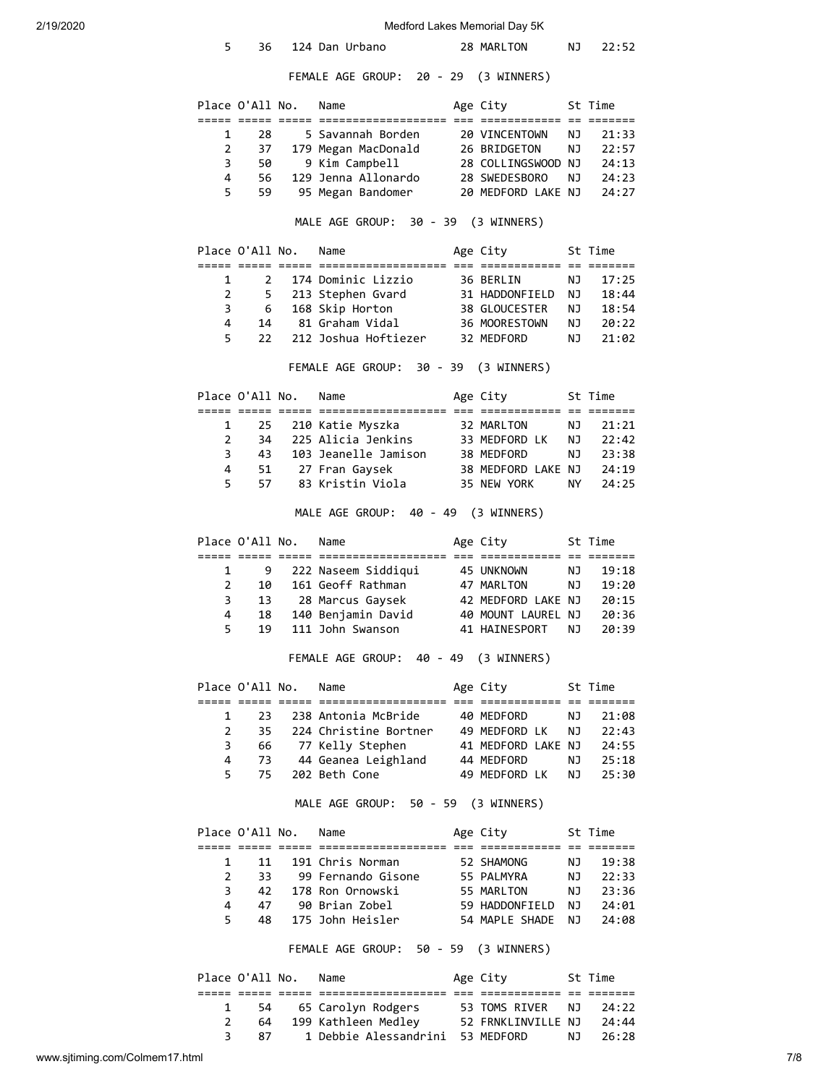| 2/19/2020 | Medford Lakes Memorial Day 5K       |                 |  |                                                |  |                             |    |                               |  |
|-----------|-------------------------------------|-----------------|--|------------------------------------------------|--|-----------------------------|----|-------------------------------|--|
|           | 5                                   | 36              |  | 124 Dan Urbano                                 |  | 28 MARLTON                  | ΝJ | 22:52                         |  |
|           |                                     |                 |  | FEMALE AGE GROUP: 20 - 29 (3 WINNERS)          |  |                             |    |                               |  |
|           |                                     | Place O'All No. |  | Name                                           |  | Age City<br>St Time         |    |                               |  |
|           | 1                                   | 28              |  | 5 Savannah Borden                              |  | 20 VINCENTOWN               | ΝJ | 21:33                         |  |
|           | 2                                   | 37              |  | 179 Megan MacDonald                            |  | 26 BRIDGETON                | ΝJ | 22:57                         |  |
|           | 3                                   | 50              |  | 9 Kim Campbell                                 |  | 28 COLLINGSWOOD NJ          |    | 24:13                         |  |
|           | 4                                   | 56              |  | 129 Jenna Allonardo                            |  | 28 SWEDESBORO               | NJ | 24:23                         |  |
|           | 5                                   | 59              |  | 95 Megan Bandomer                              |  | 20 MEDFORD LAKE NJ          |    | 24:27                         |  |
|           | MALE AGE GROUP: 30 - 39 (3 WINNERS) |                 |  |                                                |  |                             |    |                               |  |
|           |                                     | Place O'All No. |  | Name                                           |  | Age City                    |    | St Time                       |  |
|           | 1                                   | 2               |  | 174 Dominic Lizzio                             |  | 36 BERLIN                   | ΝJ | 17:25                         |  |
|           | $\overline{2}$                      | 5               |  | 213 Stephen Gvard                              |  | 31 HADDONFIELD NJ           |    | 18:44                         |  |
|           | 3                                   | 6               |  | 168 Skip Horton                                |  | 38 GLOUCESTER               | NJ | 18:54                         |  |
|           | 4                                   | 14              |  | 81 Graham Vidal                                |  | 36 MOORESTOWN               | NJ | 20:22                         |  |
|           | 5                                   | 22              |  | 212 Joshua Hoftiezer                           |  | 32 MEDFORD                  | ΝJ | 21:02                         |  |
|           |                                     |                 |  | FEMALE AGE GROUP: 30 - 39 (3 WINNERS)          |  |                             |    |                               |  |
|           |                                     | Place O'All No. |  | Name                                           |  | Age City                    |    | St Time                       |  |
|           | 1                                   | 25              |  | 210 Katie Myszka                               |  | 32 MARLTON                  | ΝJ | 21:21                         |  |
|           | $\overline{2}$                      | 34              |  | 225 Alicia Jenkins                             |  | 33 MEDFORD LK               | ΝJ | 22:42                         |  |
|           | 3                                   | 43              |  | 103 Jeanelle Jamison                           |  | 38 MEDFORD                  | NJ | 23:38                         |  |
|           | 4                                   | 51              |  | 27 Fran Gaysek                                 |  | 38 MEDFORD LAKE NJ          |    | 24:19                         |  |
|           | 5                                   | 57              |  | 83 Kristin Viola                               |  | 35 NEW YORK                 | NY | 24:25                         |  |
|           |                                     |                 |  | MALE AGE GROUP: 40 - 49 (3 WINNERS)            |  |                             |    |                               |  |
|           |                                     | Place O'All No. |  | Name                                           |  | Age City                    |    | St Time                       |  |
|           |                                     |                 |  |                                                |  |                             |    |                               |  |
|           |                                     |                 |  |                                                |  |                             |    |                               |  |
|           | 1                                   | 9               |  | 222 Naseem Siddiqui                            |  | 45 UNKNOWN                  | ΝJ | 19:18                         |  |
|           | 2                                   | 10              |  | 161 Geoff Rathman                              |  | 47 MARLTON                  | NJ | 19:20                         |  |
|           | 3                                   | 13              |  | 28 Marcus Gaysek                               |  | 42 MEDFORD LAKE NJ          |    | 20:15                         |  |
|           | 4                                   | 18              |  | 140 Benjamin David                             |  | 40 MOUNT LAUREL NJ          |    | 20:36                         |  |
|           | 5                                   | 19              |  | 111 John Swanson                               |  | 41 HATNESPORT NJ            |    | 20:39                         |  |
|           |                                     |                 |  | FEMALE AGE GROUP: 40 - 49 (3 WINNERS)          |  |                             |    |                               |  |
|           |                                     | Place O'All No. |  | Name                                           |  | Age City                    |    | St Time                       |  |
|           | 1                                   | 23              |  | 238 Antonia McBride                            |  |                             | ΝJ |                               |  |
|           | $\overline{2}$                      | 35              |  | 224 Christine Bortner                          |  | 40 MEDFORD<br>49 MEDFORD LK | NJ | 21:08<br>22:43                |  |
|           | 3                                   | 66              |  | 77 Kelly Stephen                               |  | 41 MEDFORD LAKE NJ          |    | 24:55                         |  |
|           | 4                                   | 73              |  | 44 Geanea Leighland                            |  | 44 MEDFORD                  | NJ | 25:18                         |  |
|           | 5                                   | 75              |  | 202 Beth Cone                                  |  | 49 MEDFORD LK               | ΝJ | 25:30                         |  |
|           |                                     |                 |  | MALE AGE GROUP: 50 - 59 (3 WINNERS)            |  |                             |    |                               |  |
|           |                                     | Place O'All No. |  | Name                                           |  | Age City                    |    | St Time<br>======= == ======= |  |
|           | 1                                   | 11              |  | ===== ===== ===== ========<br>191 Chris Norman |  | 52 SHAMONG                  | ΝJ | 19:38                         |  |
|           | $\overline{2}$                      | 33              |  | 99 Fernando Gisone                             |  | 55 PALMYRA                  | ΝJ | 22:33                         |  |
|           | 3                                   | 42              |  | 178 Ron Ornowski                               |  | 55 MARLTON                  | NJ | 23:36                         |  |
|           | 4                                   |                 |  | 47 90 Brian Zobel                              |  | 59 HADDONFIELD NJ           |    | 24:01                         |  |
|           | 5                                   | 48              |  | 175 John Heisler                               |  | 54 MAPLE SHADE              | NJ | 24:08                         |  |
|           |                                     |                 |  | FEMALE AGE GROUP: 50 - 59 (3 WINNERS)          |  |                             |    |                               |  |
|           |                                     | Place O'All No. |  | Name                                           |  | Age City                    |    | St Time                       |  |
|           | 1                                   | 54              |  |                                                |  | 53 TOMS RIVER               | ΝJ | 24:22                         |  |
|           | $\overline{2}$                      | 64              |  | 65 Carolyn Rodgers<br>199 Kathleen Medley      |  | 52 FRNKLINVILLE NJ          |    | 24:44                         |  |